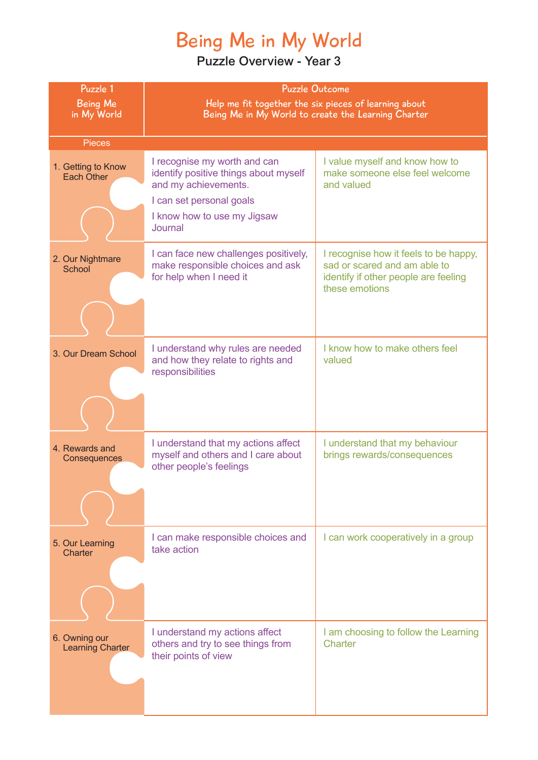# Being Me in My World

| Puzzle 1<br><b>Being Me</b><br>in My World | <b>Puzzle Outcome</b><br>Help me fit together the six pieces of learning about<br>Being Me in My World to create the Learning Charter                               |                                                                                                                                 |
|--------------------------------------------|---------------------------------------------------------------------------------------------------------------------------------------------------------------------|---------------------------------------------------------------------------------------------------------------------------------|
| <b>Pieces</b>                              |                                                                                                                                                                     |                                                                                                                                 |
| 1. Getting to Know<br>Each Other           | I recognise my worth and can<br>identify positive things about myself<br>and my achievements.<br>I can set personal goals<br>I know how to use my Jigsaw<br>Journal | I value myself and know how to<br>make someone else feel welcome<br>and valued                                                  |
| 2. Our Nightmare<br>School                 | I can face new challenges positively,<br>make responsible choices and ask<br>for help when I need it                                                                | I recognise how it feels to be happy,<br>sad or scared and am able to<br>identify if other people are feeling<br>these emotions |
| 3. Our Dream School                        | I understand why rules are needed<br>and how they relate to rights and<br>responsibilities                                                                          | I know how to make others feel<br>valued                                                                                        |
| 4. Rewards and<br>Consequences             | I understand that my actions affect<br>myself and others and I care about<br>other people's feelings                                                                | I understand that my behaviour<br>brings rewards/consequences                                                                   |
| 5. Our Learning<br>Charter                 | I can make responsible choices and<br>take action                                                                                                                   | I can work cooperatively in a group                                                                                             |
| 6. Owning our<br><b>Learning Charter</b>   | I understand my actions affect<br>others and try to see things from<br>their points of view                                                                         | I am choosing to follow the Learning<br>Charter                                                                                 |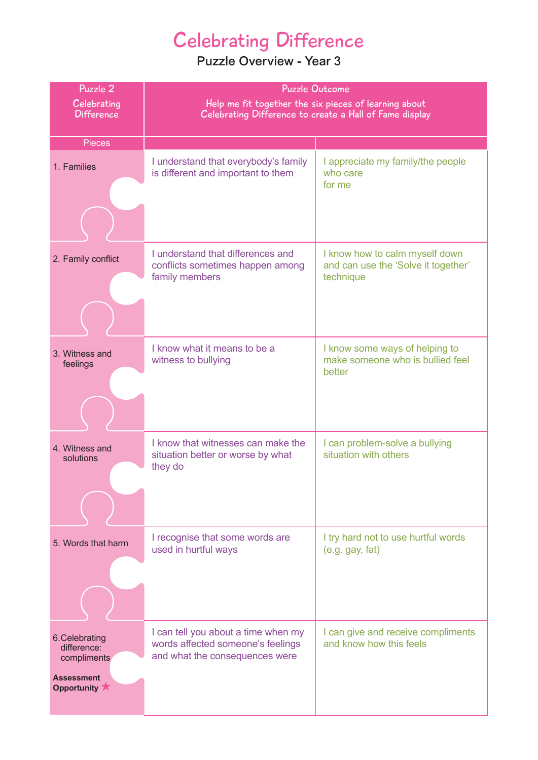## Celebrating Difference

| Puzzle 2                                                                         | <b>Puzzle Outcome</b>                                                                                      |                                                                                    |
|----------------------------------------------------------------------------------|------------------------------------------------------------------------------------------------------------|------------------------------------------------------------------------------------|
| Celebrating                                                                      | Help me fit together the six pieces of learning about                                                      |                                                                                    |
| <b>Difference</b>                                                                | Celebrating Difference to create a Hall of Fame display                                                    |                                                                                    |
| <b>Pieces</b>                                                                    |                                                                                                            |                                                                                    |
| 1. Families                                                                      | I understand that everybody's family<br>is different and important to them                                 | I appreciate my family/the people<br>who care                                      |
|                                                                                  |                                                                                                            | for me                                                                             |
|                                                                                  |                                                                                                            |                                                                                    |
| 2. Family conflict                                                               | I understand that differences and<br>conflicts sometimes happen among<br>family members                    | I know how to calm myself down<br>and can use the 'Solve it together'<br>technique |
|                                                                                  |                                                                                                            |                                                                                    |
| 3. Witness and<br>feelings                                                       | I know what it means to be a<br>witness to bullying                                                        | I know some ways of helping to<br>make someone who is bullied feel<br>better       |
|                                                                                  |                                                                                                            |                                                                                    |
| 4. Witness and<br>solutions                                                      | I know that witnesses can make the<br>situation better or worse by what<br>they do                         | I can problem-solve a bullying<br>situation with others                            |
|                                                                                  |                                                                                                            |                                                                                    |
| 5. Words that harm                                                               | I recognise that some words are<br>used in hurtful ways                                                    | I try hard not to use hurtful words<br>$(e.g.$ gay, fat)                           |
|                                                                                  |                                                                                                            |                                                                                    |
| 6. Celebrating<br>difference:<br>compliments<br><b>Assessment</b><br>Opportunity | I can tell you about a time when my<br>words affected someone's feelings<br>and what the consequences were | I can give and receive compliments<br>and know how this feels                      |
|                                                                                  |                                                                                                            |                                                                                    |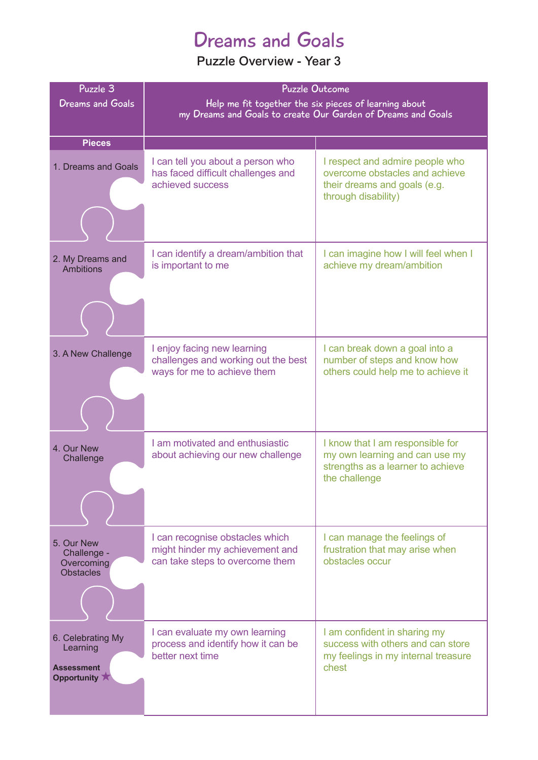### Dreams and Goals

| Puzzle 3<br><b>Dreams and Goals</b>                               | <b>Puzzle Outcome</b><br>Help me fit together the six pieces of learning about<br>my Dreams and Goals to create Our Garden of Dreams and Goals |                                                                                                                          |
|-------------------------------------------------------------------|------------------------------------------------------------------------------------------------------------------------------------------------|--------------------------------------------------------------------------------------------------------------------------|
| <b>Pieces</b>                                                     |                                                                                                                                                |                                                                                                                          |
| 1. Dreams and Goals                                               | I can tell you about a person who<br>has faced difficult challenges and<br>achieved success                                                    | I respect and admire people who<br>overcome obstacles and achieve<br>their dreams and goals (e.g.<br>through disability) |
| 2. My Dreams and<br>Ambitions                                     | I can identify a dream/ambition that<br>is important to me                                                                                     | I can imagine how I will feel when I<br>achieve my dream/ambition                                                        |
| 3. A New Challenge                                                | I enjoy facing new learning<br>challenges and working out the best<br>ways for me to achieve them                                              | I can break down a goal into a<br>number of steps and know how<br>others could help me to achieve it                     |
| 4. Our New<br>Challenge                                           | I am motivated and enthusiastic<br>about achieving our new challenge                                                                           | I know that I am responsible for<br>my own learning and can use my<br>strengths as a learner to achieve<br>the challenge |
| 5. Our New<br>Challenge -<br>Overcoming<br><b>Obstacles</b>       | I can recognise obstacles which<br>might hinder my achievement and<br>can take steps to overcome them                                          | I can manage the feelings of<br>frustration that may arise when<br>obstacles occur                                       |
| 6. Celebrating My<br>Learning<br><b>Assessment</b><br>Opportunity | I can evaluate my own learning<br>process and identify how it can be<br>better next time                                                       | I am confident in sharing my<br>success with others and can store<br>my feelings in my internal treasure<br>chest        |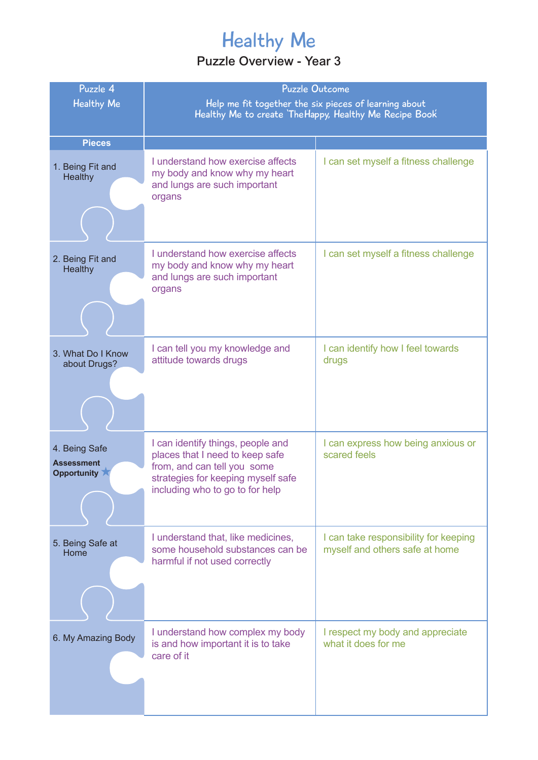# Healthy Me

| Puzzle 4                                          | <b>Puzzle Outcome</b>                                                                                                                                                        |                                                                         |
|---------------------------------------------------|------------------------------------------------------------------------------------------------------------------------------------------------------------------------------|-------------------------------------------------------------------------|
| <b>Healthy Me</b>                                 | Help me fit together the six pieces of learning about<br>Healthy Me to create The Happy, Healthy Me Recipe Book                                                              |                                                                         |
|                                                   |                                                                                                                                                                              |                                                                         |
| <b>Pieces</b>                                     |                                                                                                                                                                              |                                                                         |
| 1. Being Fit and<br><b>Healthy</b>                | I understand how exercise affects<br>my body and know why my heart<br>and lungs are such important<br>organs                                                                 | I can set myself a fitness challenge                                    |
|                                                   |                                                                                                                                                                              |                                                                         |
| 2. Being Fit and<br><b>Healthy</b>                | I understand how exercise affects<br>my body and know why my heart<br>and lungs are such important<br>organs                                                                 | I can set myself a fitness challenge                                    |
|                                                   |                                                                                                                                                                              |                                                                         |
| 3. What Do I Know<br>about Drugs?                 | I can tell you my knowledge and<br>attitude towards drugs                                                                                                                    | I can identify how I feel towards<br>drugs                              |
|                                                   |                                                                                                                                                                              |                                                                         |
| 4. Being Safe<br><b>Assessment</b><br>Opportunity | I can identify things, people and<br>places that I need to keep safe<br>from, and can tell you some<br>strategies for keeping myself safe<br>including who to go to for help | I can express how being anxious or<br>scared feels                      |
| 5. Being Safe at<br>Home                          | I understand that, like medicines,<br>some household substances can be<br>harmful if not used correctly                                                                      | I can take responsibility for keeping<br>myself and others safe at home |
| 6. My Amazing Body                                | I understand how complex my body<br>is and how important it is to take<br>care of it                                                                                         | I respect my body and appreciate<br>what it does for me                 |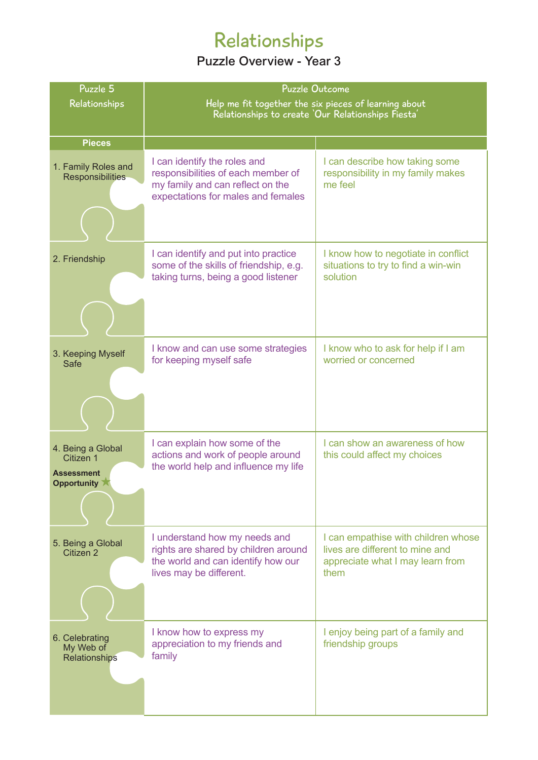# Relationships

| Puzzle 5                                                                          | <b>Puzzle Outcome</b>                                                                                                                        |                                                                                                                    |
|-----------------------------------------------------------------------------------|----------------------------------------------------------------------------------------------------------------------------------------------|--------------------------------------------------------------------------------------------------------------------|
| Relationships                                                                     | Help me fit together the six pieces of learning about<br>Relationships to create 'Our Relationships Fiesta'                                  |                                                                                                                    |
|                                                                                   |                                                                                                                                              |                                                                                                                    |
| <b>Pieces</b>                                                                     |                                                                                                                                              |                                                                                                                    |
| 1. Family Roles and<br><b>Responsibilities</b>                                    | I can identify the roles and<br>responsibilities of each member of<br>my family and can reflect on the<br>expectations for males and females | I can describe how taking some<br>responsibility in my family makes<br>me feel                                     |
|                                                                                   |                                                                                                                                              |                                                                                                                    |
| 2. Friendship                                                                     | I can identify and put into practice<br>some of the skills of friendship, e.g.<br>taking turns, being a good listener                        | I know how to negotiate in conflict<br>situations to try to find a win-win<br>solution                             |
|                                                                                   |                                                                                                                                              |                                                                                                                    |
| 3. Keeping Myself<br>Safe                                                         | I know and can use some strategies<br>for keeping myself safe                                                                                | I know who to ask for help if I am<br>worried or concerned                                                         |
|                                                                                   |                                                                                                                                              |                                                                                                                    |
| 4. Being a Global<br>Citizen 1<br>Assessment<br>Opportunity $\blacktriangleright$ | I can explain how some of the<br>actions and work of people around<br>the world help and influence my life                                   | I can show an awareness of how<br>this could affect my choices                                                     |
|                                                                                   |                                                                                                                                              |                                                                                                                    |
| 5. Being a Global<br>Citizen 2                                                    | I understand how my needs and<br>rights are shared by children around<br>the world and can identify how our<br>lives may be different.       | I can empathise with children whose<br>lives are different to mine and<br>appreciate what I may learn from<br>them |
| 6. Celebrating<br>My Web of<br>Relationships                                      | I know how to express my<br>appreciation to my friends and<br>family                                                                         | I enjoy being part of a family and<br>friendship groups                                                            |